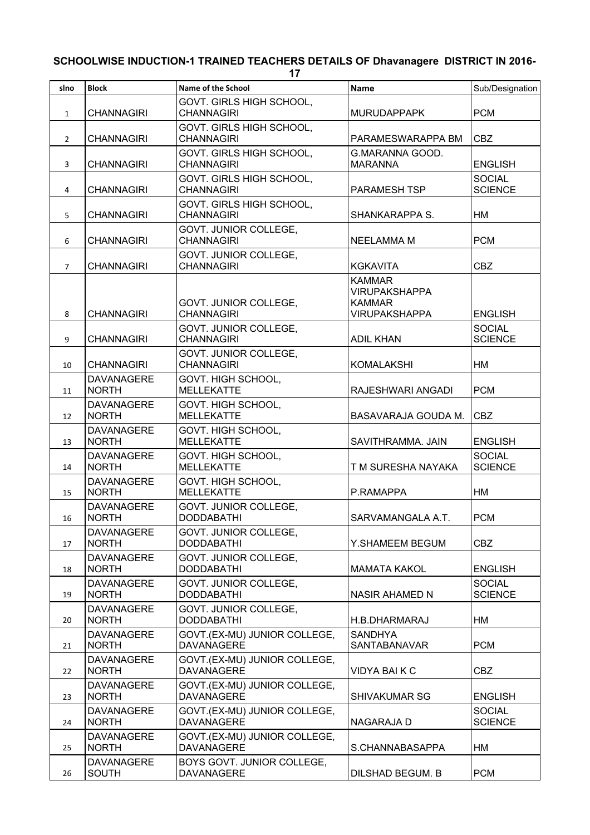## **SCHOOLWISE INDUCTION-1 TRAINED TEACHERS DETAILS OF Dhavanagere DISTRICT IN 2016-**

**17**

| sino           | <b>Block</b>                      | Name of the School                                | <b>Name</b>                                                                    | Sub/Designation                 |
|----------------|-----------------------------------|---------------------------------------------------|--------------------------------------------------------------------------------|---------------------------------|
| $\mathbf{1}$   | <b>CHANNAGIRI</b>                 | GOVT. GIRLS HIGH SCHOOL,<br><b>CHANNAGIRI</b>     | <b>MURUDAPPAPK</b>                                                             | <b>PCM</b>                      |
| $\overline{2}$ | <b>CHANNAGIRI</b>                 | GOVT. GIRLS HIGH SCHOOL,<br><b>CHANNAGIRI</b>     | PARAMESWARAPPA BM                                                              | <b>CBZ</b>                      |
| 3              | <b>CHANNAGIRI</b>                 | GOVT. GIRLS HIGH SCHOOL,<br><b>CHANNAGIRI</b>     | G.MARANNA GOOD.<br><b>MARANNA</b>                                              | <b>ENGLISH</b>                  |
| 4              | <b>CHANNAGIRI</b>                 | GOVT. GIRLS HIGH SCHOOL,<br><b>CHANNAGIRI</b>     | PARAMESH TSP                                                                   | <b>SOCIAL</b><br><b>SCIENCE</b> |
| 5              | <b>CHANNAGIRI</b>                 | GOVT. GIRLS HIGH SCHOOL,<br><b>CHANNAGIRI</b>     | SHANKARAPPA S.                                                                 | НM                              |
| 6              | <b>CHANNAGIRI</b>                 | GOVT. JUNIOR COLLEGE,<br><b>CHANNAGIRI</b>        | <b>NEELAMMA M</b>                                                              | <b>PCM</b>                      |
| $\overline{7}$ | <b>CHANNAGIRI</b>                 | GOVT. JUNIOR COLLEGE,<br><b>CHANNAGIRI</b>        | <b>KGKAVITA</b>                                                                | <b>CBZ</b>                      |
| 8              | <b>CHANNAGIRI</b>                 | GOVT. JUNIOR COLLEGE,<br><b>CHANNAGIRI</b>        | <b>KAMMAR</b><br><b>VIRUPAKSHAPPA</b><br><b>KAMMAR</b><br><b>VIRUPAKSHAPPA</b> | <b>ENGLISH</b>                  |
| 9              | <b>CHANNAGIRI</b>                 | GOVT. JUNIOR COLLEGE,<br><b>CHANNAGIRI</b>        | <b>ADIL KHAN</b>                                                               | <b>SOCIAL</b><br><b>SCIENCE</b> |
| 10             | <b>CHANNAGIRI</b>                 | GOVT. JUNIOR COLLEGE,<br><b>CHANNAGIRI</b>        | <b>KOMALAKSHI</b>                                                              | НM                              |
| 11             | <b>DAVANAGERE</b><br><b>NORTH</b> | GOVT. HIGH SCHOOL,<br><b>MELLEKATTE</b>           | RAJESHWARI ANGADI                                                              | <b>PCM</b>                      |
| 12             | <b>DAVANAGERE</b><br><b>NORTH</b> | GOVT. HIGH SCHOOL,<br><b>MELLEKATTE</b>           | BASAVARAJA GOUDA M.                                                            | <b>CBZ</b>                      |
| 13             | <b>DAVANAGERE</b><br><b>NORTH</b> | GOVT. HIGH SCHOOL,<br><b>MELLEKATTE</b>           | SAVITHRAMMA. JAIN                                                              | <b>ENGLISH</b>                  |
| 14             | <b>DAVANAGERE</b><br><b>NORTH</b> | GOVT. HIGH SCHOOL,<br><b>MELLEKATTE</b>           | T M SURESHA NAYAKA                                                             | <b>SOCIAL</b><br><b>SCIENCE</b> |
| 15             | DAVANAGERE<br><b>NORTH</b>        | GOVT. HIGH SCHOOL,<br><b>MELLEKATTE</b>           | P.RAMAPPA                                                                      | <b>HM</b>                       |
| 16             | <b>DAVANAGERE</b><br><b>NORTH</b> | GOVT. JUNIOR COLLEGE,<br><b>DODDABATHI</b>        | SARVAMANGALA A.T.                                                              | <b>PCM</b>                      |
| 17             | DAVANAGERE<br><b>NORTH</b>        | GOVT. JUNIOR COLLEGE,<br><b>DODDABATHI</b>        | Y.SHAMEEM BEGUM                                                                | CBZ                             |
| 18             | <b>DAVANAGERE</b><br><b>NORTH</b> | GOVT. JUNIOR COLLEGE,<br><b>DODDABATHI</b>        | <b>MAMATA KAKOL</b>                                                            | <b>ENGLISH</b>                  |
| 19             | <b>DAVANAGERE</b><br><b>NORTH</b> | GOVT. JUNIOR COLLEGE,<br><b>DODDABATHI</b>        | <b>NASIR AHAMED N</b>                                                          | <b>SOCIAL</b><br><b>SCIENCE</b> |
| 20             | <b>DAVANAGERE</b><br><b>NORTH</b> | GOVT. JUNIOR COLLEGE,<br><b>DODDABATHI</b>        | H.B.DHARMARAJ                                                                  | НM                              |
| 21             | <b>DAVANAGERE</b><br><b>NORTH</b> | GOVT.(EX-MU) JUNIOR COLLEGE,<br><b>DAVANAGERE</b> | <b>SANDHYA</b><br><b>SANTABANAVAR</b>                                          | <b>PCM</b>                      |
| 22             | <b>DAVANAGERE</b><br><b>NORTH</b> | GOVT.(EX-MU) JUNIOR COLLEGE,<br><b>DAVANAGERE</b> | <b>VIDYA BAIK C</b>                                                            | <b>CBZ</b>                      |
| 23             | <b>DAVANAGERE</b><br><b>NORTH</b> | GOVT.(EX-MU) JUNIOR COLLEGE,<br><b>DAVANAGERE</b> | SHIVAKUMAR SG                                                                  | <b>ENGLISH</b>                  |
| 24             | <b>DAVANAGERE</b><br><b>NORTH</b> | GOVT.(EX-MU) JUNIOR COLLEGE,<br><b>DAVANAGERE</b> | NAGARAJA D                                                                     | <b>SOCIAL</b><br><b>SCIENCE</b> |
| 25             | DAVANAGERE<br><b>NORTH</b>        | GOVT.(EX-MU) JUNIOR COLLEGE,<br><b>DAVANAGERE</b> | S.CHANNABASAPPA                                                                | НM                              |
| 26             | <b>DAVANAGERE</b><br><b>SOUTH</b> | BOYS GOVT. JUNIOR COLLEGE,<br><b>DAVANAGERE</b>   | DILSHAD BEGUM. B                                                               | <b>PCM</b>                      |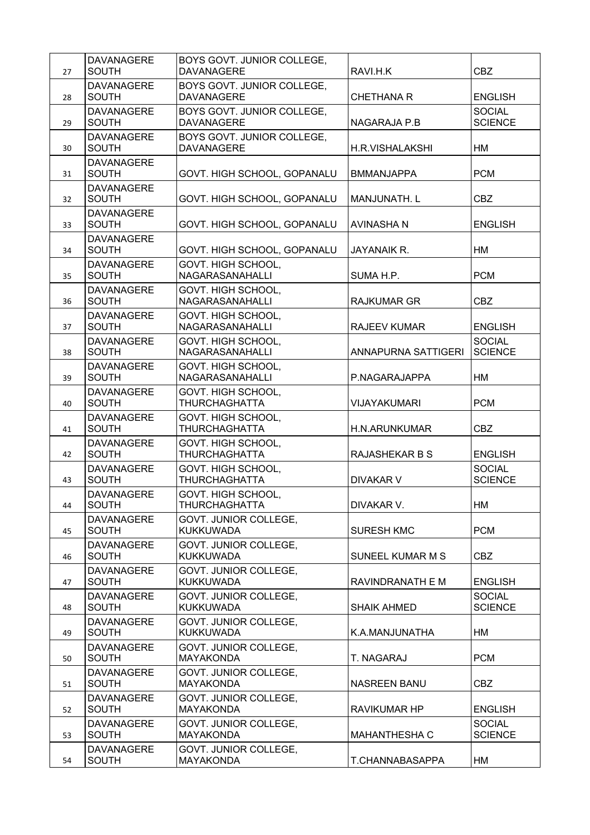| 27 | <b>DAVANAGERE</b><br><b>SOUTH</b> | BOYS GOVT. JUNIOR COLLEGE,<br><b>DAVANAGERE</b> | RAVI.H.K             | <b>CBZ</b>                      |
|----|-----------------------------------|-------------------------------------------------|----------------------|---------------------------------|
| 28 | <b>DAVANAGERE</b><br><b>SOUTH</b> | BOYS GOVT. JUNIOR COLLEGE,<br><b>DAVANAGERE</b> | <b>CHETHANA R</b>    | <b>ENGLISH</b>                  |
| 29 | <b>DAVANAGERE</b><br><b>SOUTH</b> | BOYS GOVT. JUNIOR COLLEGE,<br><b>DAVANAGERE</b> | NAGARAJA P.B         | <b>SOCIAL</b><br><b>SCIENCE</b> |
| 30 | <b>DAVANAGERE</b><br><b>SOUTH</b> | BOYS GOVT. JUNIOR COLLEGE,<br>DAVANAGERE        | H.R.VISHALAKSHI      | НM                              |
| 31 | <b>DAVANAGERE</b><br><b>SOUTH</b> | GOVT. HIGH SCHOOL, GOPANALU                     | <b>BMMANJAPPA</b>    | <b>PCM</b>                      |
| 32 | <b>DAVANAGERE</b><br><b>SOUTH</b> | GOVT. HIGH SCHOOL, GOPANALU                     | <b>MANJUNATH. L</b>  | <b>CBZ</b>                      |
| 33 | <b>DAVANAGERE</b><br><b>SOUTH</b> | GOVT. HIGH SCHOOL, GOPANALU                     | AVINASHA N           | <b>ENGLISH</b>                  |
| 34 | <b>DAVANAGERE</b><br><b>SOUTH</b> | GOVT. HIGH SCHOOL, GOPANALU                     | <b>JAYANAIK R.</b>   | HM                              |
| 35 | <b>DAVANAGERE</b><br><b>SOUTH</b> | GOVT. HIGH SCHOOL,<br>NAGARASANAHALLI           | SUMA H.P.            | <b>PCM</b>                      |
| 36 | <b>DAVANAGERE</b><br><b>SOUTH</b> | GOVT. HIGH SCHOOL,<br>NAGARASANAHALLI           | <b>RAJKUMAR GR</b>   | <b>CBZ</b>                      |
| 37 | <b>DAVANAGERE</b><br><b>SOUTH</b> | GOVT. HIGH SCHOOL,<br>NAGARASANAHALLI           | <b>RAJEEV KUMAR</b>  | <b>ENGLISH</b>                  |
| 38 | <b>DAVANAGERE</b><br><b>SOUTH</b> | GOVT. HIGH SCHOOL,<br>NAGARASANAHALLI           | ANNAPURNA SATTIGERI  | <b>SOCIAL</b><br><b>SCIENCE</b> |
| 39 | <b>DAVANAGERE</b><br><b>SOUTH</b> | GOVT. HIGH SCHOOL,<br>NAGARASANAHALLI           | P.NAGARAJAPPA        | HM                              |
| 40 | <b>DAVANAGERE</b><br><b>SOUTH</b> | GOVT. HIGH SCHOOL,<br>THURCHAGHATTA             | <b>VIJAYAKUMARI</b>  | <b>PCM</b>                      |
| 41 | <b>DAVANAGERE</b><br><b>SOUTH</b> | GOVT. HIGH SCHOOL,<br><b>THURCHAGHATTA</b>      | <b>H.N.ARUNKUMAR</b> | CBZ                             |
| 42 | <b>DAVANAGERE</b><br><b>SOUTH</b> | GOVT. HIGH SCHOOL,<br>THURCHAGHATTA             | RAJASHEKAR B S       | <b>ENGLISH</b>                  |
| 43 | <b>DAVANAGERE</b><br><b>SOUTH</b> | GOVT. HIGH SCHOOL,<br>THURCHAGHATTA             | <b>DIVAKAR V</b>     | <b>SOCIAL</b><br><b>SCIENCE</b> |
| 44 | <b>DAVANAGERE</b><br><b>SOUTH</b> | GOVT. HIGH SCHOOL<br>THURCHAGHATTA              | DIVAKAR V.           | <b>HM</b>                       |
| 45 | <b>DAVANAGERE</b><br><b>SOUTH</b> | GOVT. JUNIOR COLLEGE,<br><b>KUKKUWADA</b>       | <b>SURESH KMC</b>    | <b>PCM</b>                      |
| 46 | <b>DAVANAGERE</b><br><b>SOUTH</b> | GOVT. JUNIOR COLLEGE,<br><b>KUKKUWADA</b>       | SUNEEL KUMAR M S     | CBZ                             |
| 47 | <b>DAVANAGERE</b><br><b>SOUTH</b> | GOVT. JUNIOR COLLEGE,<br><b>KUKKUWADA</b>       | RAVINDRANATH E M     | <b>ENGLISH</b>                  |
| 48 | <b>DAVANAGERE</b><br><b>SOUTH</b> | GOVT. JUNIOR COLLEGE,<br><b>KUKKUWADA</b>       | <b>SHAIK AHMED</b>   | <b>SOCIAL</b><br><b>SCIENCE</b> |
| 49 | <b>DAVANAGERE</b><br><b>SOUTH</b> | GOVT. JUNIOR COLLEGE,<br><b>KUKKUWADA</b>       | K.A.MANJUNATHA       | НM                              |
| 50 | <b>DAVANAGERE</b><br><b>SOUTH</b> | GOVT. JUNIOR COLLEGE,<br>MAYAKONDA              | T. NAGARAJ           | <b>PCM</b>                      |
| 51 | <b>DAVANAGERE</b><br><b>SOUTH</b> | GOVT. JUNIOR COLLEGE,<br>MAYAKONDA              | NASREEN BANU         | CBZ                             |
| 52 | <b>DAVANAGERE</b><br><b>SOUTH</b> | GOVT. JUNIOR COLLEGE,<br>MAYAKONDA              | <b>RAVIKUMAR HP</b>  | <b>ENGLISH</b>                  |
| 53 | <b>DAVANAGERE</b><br><b>SOUTH</b> | GOVT. JUNIOR COLLEGE,<br>MAYAKONDA              | MAHANTHESHA C        | <b>SOCIAL</b><br><b>SCIENCE</b> |
| 54 | <b>DAVANAGERE</b><br><b>SOUTH</b> | GOVT. JUNIOR COLLEGE,<br>MAYAKONDA              | T.CHANNABASAPPA      | HM                              |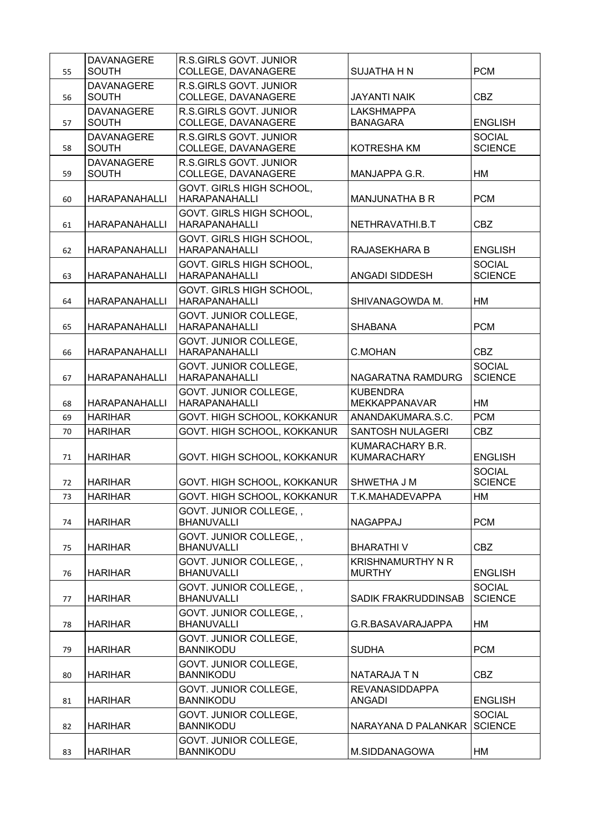| 55 | <b>DAVANAGERE</b><br><b>SOUTH</b> | <b>R.S.GIRLS GOVT. JUNIOR</b><br>COLLEGE, DAVANAGERE | SUJATHA H N                               | <b>PCM</b>                      |
|----|-----------------------------------|------------------------------------------------------|-------------------------------------------|---------------------------------|
| 56 | <b>DAVANAGERE</b><br><b>SOUTH</b> | R.S.GIRLS GOVT. JUNIOR<br>COLLEGE, DAVANAGERE        | <b>JAYANTI NAIK</b>                       | CBZ                             |
| 57 | <b>DAVANAGERE</b><br><b>SOUTH</b> | R.S.GIRLS GOVT. JUNIOR<br>COLLEGE, DAVANAGERE        | <b>LAKSHMAPPA</b><br><b>BANAGARA</b>      | <b>ENGLISH</b>                  |
| 58 | <b>DAVANAGERE</b><br><b>SOUTH</b> | R.S.GIRLS GOVT. JUNIOR<br>COLLEGE, DAVANAGERE        | <b>KOTRESHA KM</b>                        | <b>SOCIAL</b><br><b>SCIENCE</b> |
| 59 | <b>DAVANAGERE</b><br><b>SOUTH</b> | R.S.GIRLS GOVT. JUNIOR<br>COLLEGE, DAVANAGERE        | MANJAPPA G.R.                             | НM                              |
| 60 | <b>HARAPANAHALLI</b>              | GOVT. GIRLS HIGH SCHOOL,<br><b>HARAPANAHALLI</b>     | <b>MANJUNATHA B R</b>                     | <b>PCM</b>                      |
| 61 | <b>HARAPANAHALLI</b>              | GOVT. GIRLS HIGH SCHOOL,<br><b>HARAPANAHALLI</b>     | NETHRAVATHI.B.T                           | <b>CBZ</b>                      |
| 62 | <b>HARAPANAHALLI</b>              | GOVT. GIRLS HIGH SCHOOL,<br><b>HARAPANAHALLI</b>     | RAJASEKHARA B                             | <b>ENGLISH</b>                  |
| 63 | <b>HARAPANAHALLI</b>              | GOVT. GIRLS HIGH SCHOOL,<br><b>HARAPANAHALLI</b>     | ANGADI SIDDESH                            | <b>SOCIAL</b><br><b>SCIENCE</b> |
| 64 | <b>HARAPANAHALLI</b>              | GOVT. GIRLS HIGH SCHOOL,<br><b>HARAPANAHALLI</b>     | SHIVANAGOWDA M.                           | HM                              |
| 65 | <b>HARAPANAHALLI</b>              | GOVT. JUNIOR COLLEGE,<br><b>HARAPANAHALLI</b>        | <b>SHABANA</b>                            | <b>PCM</b>                      |
| 66 | <b>HARAPANAHALLI</b>              | GOVT. JUNIOR COLLEGE,<br><b>HARAPANAHALLI</b>        | <b>C.MOHAN</b>                            | <b>CBZ</b>                      |
| 67 | <b>HARAPANAHALLI</b>              | GOVT. JUNIOR COLLEGE,<br><b>HARAPANAHALLI</b>        | NAGARATNA RAMDURG                         | <b>SOCIAL</b><br><b>SCIENCE</b> |
| 68 | <b>HARAPANAHALLI</b>              | GOVT. JUNIOR COLLEGE,<br><b>HARAPANAHALLI</b>        | <b>KUBENDRA</b><br><b>MEKKAPPANAVAR</b>   | <b>HM</b>                       |
| 69 | <b>HARIHAR</b>                    | GOVT. HIGH SCHOOL, KOKKANUR                          | ANANDAKUMARA.S.C.                         | <b>PCM</b>                      |
| 70 | <b>HARIHAR</b>                    | GOVT. HIGH SCHOOL, KOKKANUR                          | SANTOSH NULAGERI                          | <b>CBZ</b>                      |
| 71 | <b>HARIHAR</b>                    | GOVT. HIGH SCHOOL, KOKKANUR                          | KUMARACHARY B.R.<br><b>KUMARACHARY</b>    | <b>ENGLISH</b>                  |
| 72 | <b>HARIHAR</b>                    | GOVT. HIGH SCHOOL, KOKKANUR                          | SHWETHA J M                               | <b>SOCIAL</b><br><b>SCIENCE</b> |
| 73 | <b>HARIHAR</b>                    | GOVT. HIGH SCHOOL, KOKKANUR                          | T.K.MAHADEVAPPA                           | HM                              |
| 74 | <b>HARIHAR</b>                    | GOVT. JUNIOR COLLEGE, ,<br><b>BHANUVALLI</b>         | <b>NAGAPPAJ</b>                           | <b>PCM</b>                      |
| 75 | <b>HARIHAR</b>                    | GOVT. JUNIOR COLLEGE<br><b>BHANUVALLI</b>            | <b>BHARATHIV</b>                          | CBZ                             |
| 76 | <b>HARIHAR</b>                    | GOVT. JUNIOR COLLEGE, ,<br><b>BHANUVALLI</b>         | <b>KRISHNAMURTHY N R</b><br><b>MURTHY</b> | <b>ENGLISH</b>                  |
| 77 | <b>HARIHAR</b>                    | GOVT. JUNIOR COLLEGE,,<br><b>BHANUVALLI</b>          | SADIK FRAKRUDDINSAB                       | <b>SOCIAL</b><br><b>SCIENCE</b> |
| 78 | <b>HARIHAR</b>                    | GOVT. JUNIOR COLLEGE,,<br><b>BHANUVALLI</b>          | G.R.BASAVARAJAPPA                         | НM                              |
| 79 | <b>HARIHAR</b>                    | GOVT. JUNIOR COLLEGE,<br><b>BANNIKODU</b>            | <b>SUDHA</b>                              | <b>PCM</b>                      |
| 80 | <b>HARIHAR</b>                    | GOVT. JUNIOR COLLEGE,<br><b>BANNIKODU</b>            | NATARAJA T N                              | <b>CBZ</b>                      |
| 81 | <b>HARIHAR</b>                    | GOVT. JUNIOR COLLEGE,<br><b>BANNIKODU</b>            | <b>REVANASIDDAPPA</b><br>ANGADI           | <b>ENGLISH</b>                  |
| 82 | <b>HARIHAR</b>                    | GOVT. JUNIOR COLLEGE,<br><b>BANNIKODU</b>            | NARAYANA D PALANKAR                       | <b>SOCIAL</b><br><b>SCIENCE</b> |
| 83 | <b>HARIHAR</b>                    | GOVT. JUNIOR COLLEGE,<br><b>BANNIKODU</b>            | M.SIDDANAGOWA                             | HM                              |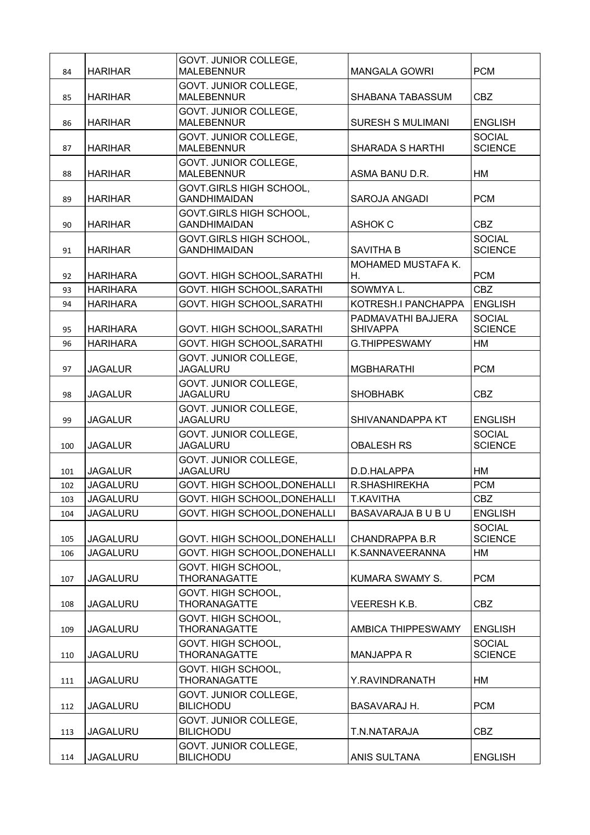| 84  | <b>HARIHAR</b>  | GOVT. JUNIOR COLLEGE,<br><b>MALEBENNUR</b>     | <b>MANGALA GOWRI</b>                  | <b>PCM</b>                      |
|-----|-----------------|------------------------------------------------|---------------------------------------|---------------------------------|
| 85  | <b>HARIHAR</b>  | GOVT. JUNIOR COLLEGE,<br><b>MALEBENNUR</b>     | SHABANA TABASSUM                      | <b>CBZ</b>                      |
| 86  | <b>HARIHAR</b>  | GOVT. JUNIOR COLLEGE,<br><b>MALEBENNUR</b>     | <b>SURESH S MULIMANI</b>              | <b>ENGLISH</b>                  |
| 87  | <b>HARIHAR</b>  | GOVT. JUNIOR COLLEGE,<br><b>MALEBENNUR</b>     | <b>SHARADA S HARTHI</b>               | <b>SOCIAL</b><br><b>SCIENCE</b> |
| 88  | <b>HARIHAR</b>  | GOVT. JUNIOR COLLEGE,<br><b>MALEBENNUR</b>     | ASMA BANU D.R.                        | НM                              |
| 89  | <b>HARIHAR</b>  | GOVT.GIRLS HIGH SCHOOL,<br><b>GANDHIMAIDAN</b> | SAROJA ANGADI                         | <b>PCM</b>                      |
| 90  | <b>HARIHAR</b>  | GOVT.GIRLS HIGH SCHOOL,<br><b>GANDHIMAIDAN</b> | <b>ASHOK C</b>                        | <b>CBZ</b>                      |
| 91  | <b>HARIHAR</b>  | GOVT.GIRLS HIGH SCHOOL,<br><b>GANDHIMAIDAN</b> | <b>SAVITHA B</b>                      | <b>SOCIAL</b><br><b>SCIENCE</b> |
| 92  | <b>HARIHARA</b> | GOVT. HIGH SCHOOL, SARATHI                     | <b>MOHAMED MUSTAFA K.</b><br>Η.       | <b>PCM</b>                      |
| 93  | <b>HARIHARA</b> | GOVT. HIGH SCHOOL, SARATHI                     | SOWMYA L.                             | <b>CBZ</b>                      |
| 94  | <b>HARIHARA</b> | GOVT. HIGH SCHOOL, SARATHI                     | KOTRESH.I PANCHAPPA                   | <b>ENGLISH</b>                  |
| 95  | <b>HARIHARA</b> | GOVT. HIGH SCHOOL, SARATHI                     | PADMAVATHI BAJJERA<br><b>SHIVAPPA</b> | <b>SOCIAL</b><br><b>SCIENCE</b> |
| 96  | <b>HARIHARA</b> | GOVT. HIGH SCHOOL, SARATHI                     | <b>G.THIPPESWAMY</b>                  | <b>HM</b>                       |
| 97  | <b>JAGALUR</b>  | GOVT. JUNIOR COLLEGE,<br><b>JAGALURU</b>       | <b>MGBHARATHI</b>                     | <b>PCM</b>                      |
| 98  | <b>JAGALUR</b>  | GOVT. JUNIOR COLLEGE,<br><b>JAGALURU</b>       | <b>SHOBHABK</b>                       | CBZ                             |
| 99  | <b>JAGALUR</b>  | GOVT. JUNIOR COLLEGE,<br><b>JAGALURU</b>       | SHIVANANDAPPA KT                      | <b>ENGLISH</b>                  |
| 100 | <b>JAGALUR</b>  | GOVT. JUNIOR COLLEGE,<br><b>JAGALURU</b>       | <b>OBALESH RS</b>                     | <b>SOCIAL</b><br><b>SCIENCE</b> |
| 101 | <b>JAGALUR</b>  | GOVT. JUNIOR COLLEGE,<br><b>JAGALURU</b>       | D.D.HALAPPA                           | HM                              |
| 102 | <b>JAGALURU</b> | GOVT. HIGH SCHOOL, DONEHALLI                   | R.SHASHIREKHA                         | <b>PCM</b>                      |
| 103 | <b>JAGALURU</b> | GOVT. HIGH SCHOOL, DONEHALLI                   | <b>T.KAVITHA</b>                      | CBZ                             |
| 104 | <b>JAGALURU</b> | GOVT. HIGH SCHOOL, DONEHALLI                   | BASAVARAJA B U B U                    | <b>ENGLISH</b>                  |
| 105 | <b>JAGALURU</b> | GOVT. HIGH SCHOOL, DONEHALLI                   | <b>CHANDRAPPA B.R</b>                 | <b>SOCIAL</b><br><b>SCIENCE</b> |
| 106 | <b>JAGALURU</b> | GOVT. HIGH SCHOOL, DONEHALLI                   | K.SANNAVEERANNA                       | HM                              |
| 107 | <b>JAGALURU</b> | GOVT. HIGH SCHOOL,<br><b>THORANAGATTE</b>      | KUMARA SWAMY S.                       | <b>PCM</b>                      |
| 108 | <b>JAGALURU</b> | GOVT. HIGH SCHOOL,<br>THORANAGATTE             | VEERESH K.B.                          | <b>CBZ</b>                      |
| 109 | <b>JAGALURU</b> | GOVT. HIGH SCHOOL,<br>THORANAGATTE             | AMBICA THIPPESWAMY                    | <b>ENGLISH</b>                  |
| 110 | <b>JAGALURU</b> | GOVT. HIGH SCHOOL,<br>THORANAGATTE             | <b>MANJAPPA R</b>                     | <b>SOCIAL</b><br><b>SCIENCE</b> |
| 111 | <b>JAGALURU</b> | GOVT. HIGH SCHOOL,<br><b>THORANAGATTE</b>      | Y.RAVINDRANATH                        | HM                              |
| 112 | <b>JAGALURU</b> | GOVT. JUNIOR COLLEGE,<br><b>BILICHODU</b>      | BASAVARAJ H.                          | <b>PCM</b>                      |
| 113 | <b>JAGALURU</b> | GOVT. JUNIOR COLLEGE,<br><b>BILICHODU</b>      | T.N.NATARAJA                          | CBZ                             |
| 114 | <b>JAGALURU</b> | GOVT. JUNIOR COLLEGE,<br><b>BILICHODU</b>      | ANIS SULTANA                          | <b>ENGLISH</b>                  |